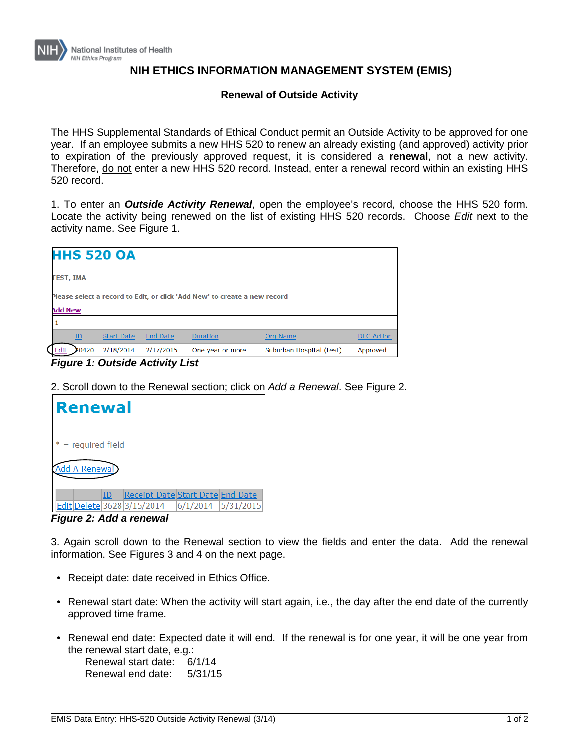

## **NIH ETHICS INFORMATION MANAGEMENT SYSTEM (EMIS)**

## **Renewal of Outside Activity**

The HHS Supplemental Standards of Ethical Conduct permit an Outside Activity to be approved for one year. If an employee submits a new HHS 520 to renew an already existing (and approved) activity prior to expiration of the previously approved request, it is considered a **renewal**, not a new activity. Therefore, do not enter a new HHS 520 record. Instead, enter a renewal record within an existing HHS 520 record.

1. To enter an *Outside Activity Renewal*, open the employee's record, choose the HHS 520 form. Locate the activity being renewed on the list of existing HHS 520 records. Choose *Edit* next to the activity name. See Figure 1.

| <b>HHS 520 OA</b>                                                         |       |                   |                 |                  |                          |                   |  |  |
|---------------------------------------------------------------------------|-------|-------------------|-----------------|------------------|--------------------------|-------------------|--|--|
| <b>TEST, IMA</b>                                                          |       |                   |                 |                  |                          |                   |  |  |
| Please select a record to Edit, or click 'Add New' to create a new record |       |                   |                 |                  |                          |                   |  |  |
| <b>Add New</b>                                                            |       |                   |                 |                  |                          |                   |  |  |
|                                                                           |       |                   |                 |                  |                          |                   |  |  |
|                                                                           | ID    | <b>Start Date</b> | <b>End Date</b> | <b>Duration</b>  | <b>Org Name</b>          | <b>DEC</b> Action |  |  |
|                                                                           | 20420 | 2/18/2014         | 2/17/2015       | One year or more | Suburban Hospital (test) | Approved          |  |  |

*Figure 1: Outside Activity List*

2. Scroll down to the Renewal section; click on *Add a Renewal*. See Figure 2.



*Figure 2: Add a renewal*

3. Again scroll down to the Renewal section to view the fields and enter the data. Add the renewal information. See Figures 3 and 4 on the next page.

- Receipt date: date received in Ethics Office.
- Renewal start date: When the activity will start again, i.e., the day after the end date of the currently approved time frame.
- Renewal end date: Expected date it will end. If the renewal is for one year, it will be one year from the renewal start date, e.g.: Renewal start date: 6/1/14

Renewal end date: 5/31/15